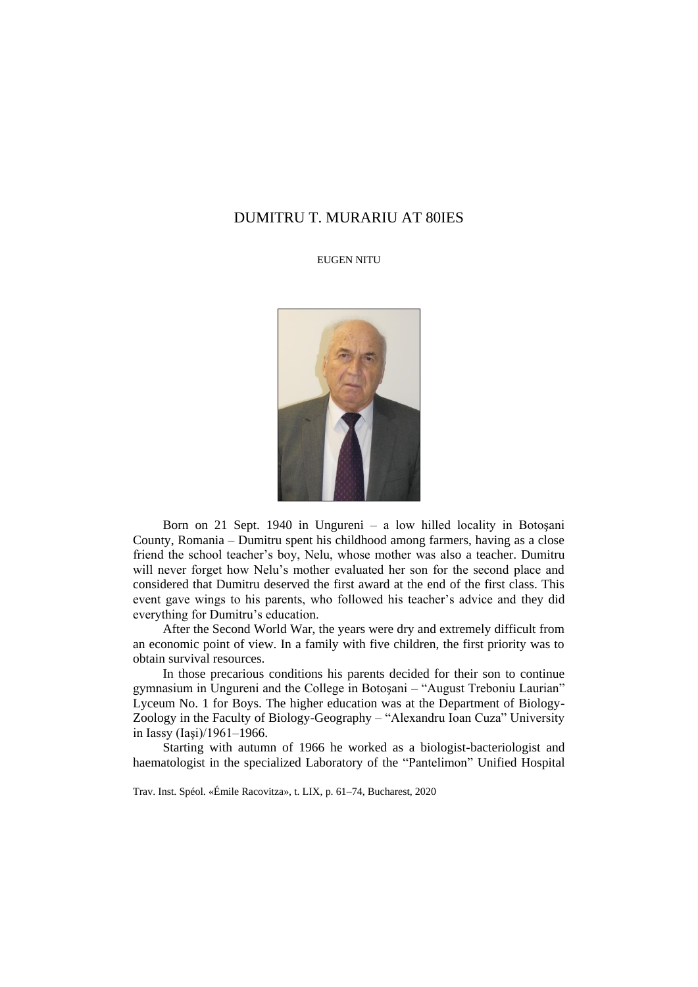## DUMITRU T. MURARIU AT 80IES

## EUGEN NITU



Born on 21 Sept. 1940 in Ungureni – a low hilled locality in Botoşani County, Romania – Dumitru spent his childhood among farmers, having as a close friend the school teacher's boy, Nelu, whose mother was also a teacher. Dumitru will never forget how Nelu's mother evaluated her son for the second place and considered that Dumitru deserved the first award at the end of the first class. This event gave wings to his parents, who followed his teacher's advice and they did everything for Dumitru's education.

After the Second World War, the years were dry and extremely difficult from an economic point of view. In a family with five children, the first priority was to obtain survival resources.

In those precarious conditions his parents decided for their son to continue gymnasium in Ungureni and the College in Botoşani – "August Treboniu Laurian" Lyceum No. 1 for Boys. The higher education was at the Department of Biology-Zoology in the Faculty of Biology-Geography – "Alexandru Ioan Cuza" University in Iassy (Iaşi)/1961–1966.

Starting with autumn of 1966 he worked as a biologist-bacteriologist and haematologist in the specialized Laboratory of the "Pantelimon" Unified Hospital

Trav. Inst. Spéol. «Émile Racovitza», t. LIX, p. 61–74, Bucharest, 2020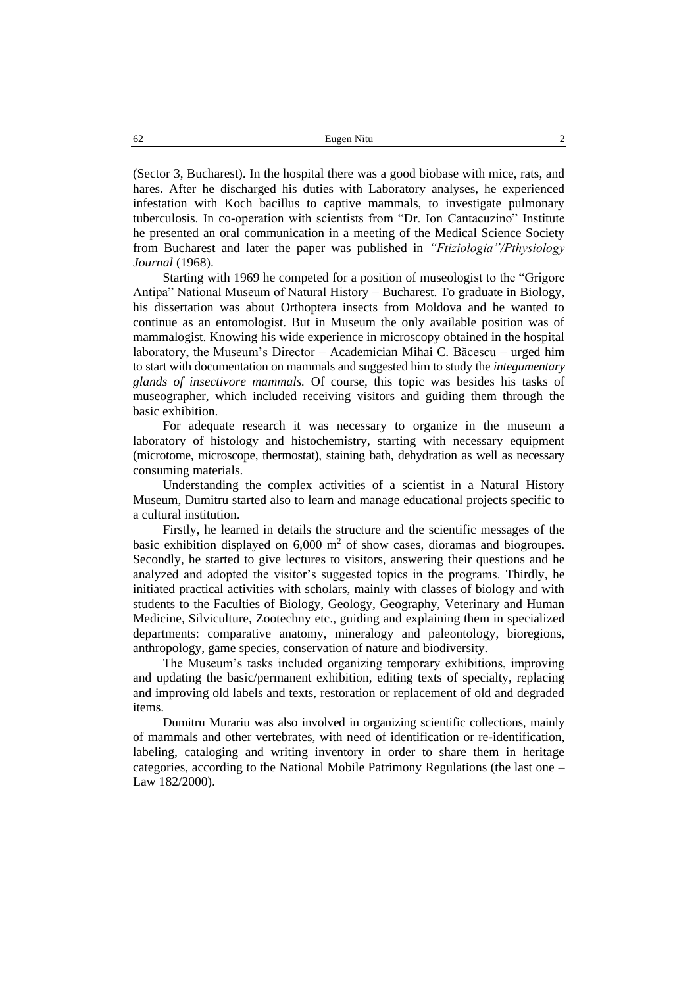(Sector 3, Bucharest). In the hospital there was a good biobase with mice, rats, and hares. After he discharged his duties with Laboratory analyses, he experienced infestation with Koch bacillus to captive mammals, to investigate pulmonary tuberculosis. In co-operation with scientists from "Dr. Ion Cantacuzino" Institute he presented an oral communication in a meeting of the Medical Science Society from Bucharest and later the paper was published in *"Ftiziologia"/Pthysiology Journal* (1968).

Starting with 1969 he competed for a position of museologist to the "Grigore Antipa" National Museum of Natural History – Bucharest. To graduate in Biology, his dissertation was about Orthoptera insects from Moldova and he wanted to continue as an entomologist. But in Museum the only available position was of mammalogist. Knowing his wide experience in microscopy obtained in the hospital laboratory, the Museum's Director – Academician Mihai C. Băcescu – urged him to start with documentation on mammals and suggested him to study the *integumentary glands of insectivore mammals.* Of course, this topic was besides his tasks of museographer, which included receiving visitors and guiding them through the basic exhibition.

For adequate research it was necessary to organize in the museum a laboratory of histology and histochemistry, starting with necessary equipment (microtome, microscope, thermostat), staining bath, dehydration as well as necessary consuming materials.

Understanding the complex activities of a scientist in a Natural History Museum, Dumitru started also to learn and manage educational projects specific to a cultural institution.

Firstly, he learned in details the structure and the scientific messages of the basic exhibition displayed on  $6,000 \text{ m}^2$  of show cases, dioramas and biogroupes. Secondly, he started to give lectures to visitors, answering their questions and he analyzed and adopted the visitor's suggested topics in the programs. Thirdly, he initiated practical activities with scholars, mainly with classes of biology and with students to the Faculties of Biology, Geology, Geography, Veterinary and Human Medicine, Silviculture, Zootechny etc., guiding and explaining them in specialized departments: comparative anatomy, mineralogy and paleontology, bioregions, anthropology, game species, conservation of nature and biodiversity.

The Museum's tasks included organizing temporary exhibitions, improving and updating the basic/permanent exhibition, editing texts of specialty, replacing and improving old labels and texts, restoration or replacement of old and degraded items.

Dumitru Murariu was also involved in organizing scientific collections, mainly of mammals and other vertebrates, with need of identification or re-identification, labeling, cataloging and writing inventory in order to share them in heritage categories, according to the National Mobile Patrimony Regulations (the last one – Law 182/2000).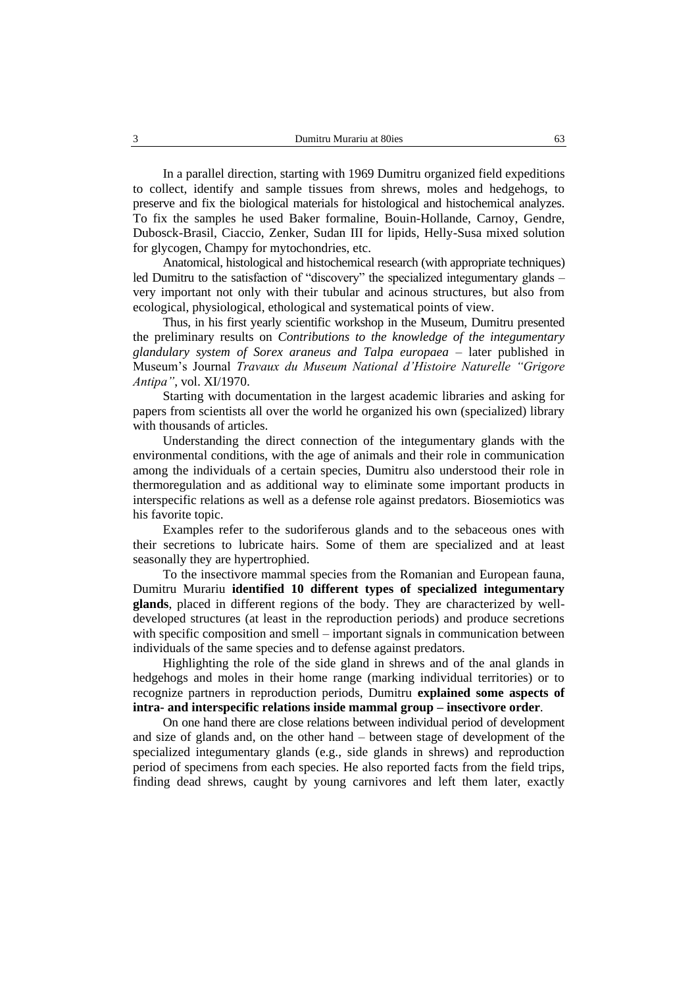In a parallel direction, starting with 1969 Dumitru organized field expeditions to collect, identify and sample tissues from shrews, moles and hedgehogs, to preserve and fix the biological materials for histological and histochemical analyzes. To fix the samples he used Baker formaline, Bouin-Hollande, Carnoy, Gendre, Dubosck-Brasil, Ciaccio, Zenker, Sudan III for lipids, Helly-Susa mixed solution for glycogen, Champy for mytochondries, etc.

Anatomical, histological and histochemical research (with appropriate techniques) led Dumitru to the satisfaction of "discovery" the specialized integumentary glands – very important not only with their tubular and acinous structures, but also from ecological, physiological, ethological and systematical points of view.

Thus, in his first yearly scientific workshop in the Museum, Dumitru presented the preliminary results on *Contributions to the knowledge of the integumentary glandulary system of Sorex araneus and Talpa europaea* – later published in Museum's Journal *Travaux du Museum National d'Histoire Naturelle "Grigore Antipa"*, vol. XI/1970.

Starting with documentation in the largest academic libraries and asking for papers from scientists all over the world he organized his own (specialized) library with thousands of articles.

Understanding the direct connection of the integumentary glands with the environmental conditions, with the age of animals and their role in communication among the individuals of a certain species, Dumitru also understood their role in thermoregulation and as additional way to eliminate some important products in interspecific relations as well as a defense role against predators. Biosemiotics was his favorite topic.

Examples refer to the sudoriferous glands and to the sebaceous ones with their secretions to lubricate hairs. Some of them are specialized and at least seasonally they are hypertrophied.

To the insectivore mammal species from the Romanian and European fauna, Dumitru Murariu **identified 10 different types of specialized integumentary glands**, placed in different regions of the body. They are characterized by welldeveloped structures (at least in the reproduction periods) and produce secretions with specific composition and smell – important signals in communication between individuals of the same species and to defense against predators.

Highlighting the role of the side gland in shrews and of the anal glands in hedgehogs and moles in their home range (marking individual territories) or to recognize partners in reproduction periods, Dumitru **explained some aspects of intra- and interspecific relations inside mammal group – insectivore order**.

On one hand there are close relations between individual period of development and size of glands and, on the other hand – between stage of development of the specialized integumentary glands (e.g., side glands in shrews) and reproduction period of specimens from each species. He also reported facts from the field trips, finding dead shrews, caught by young carnivores and left them later, exactly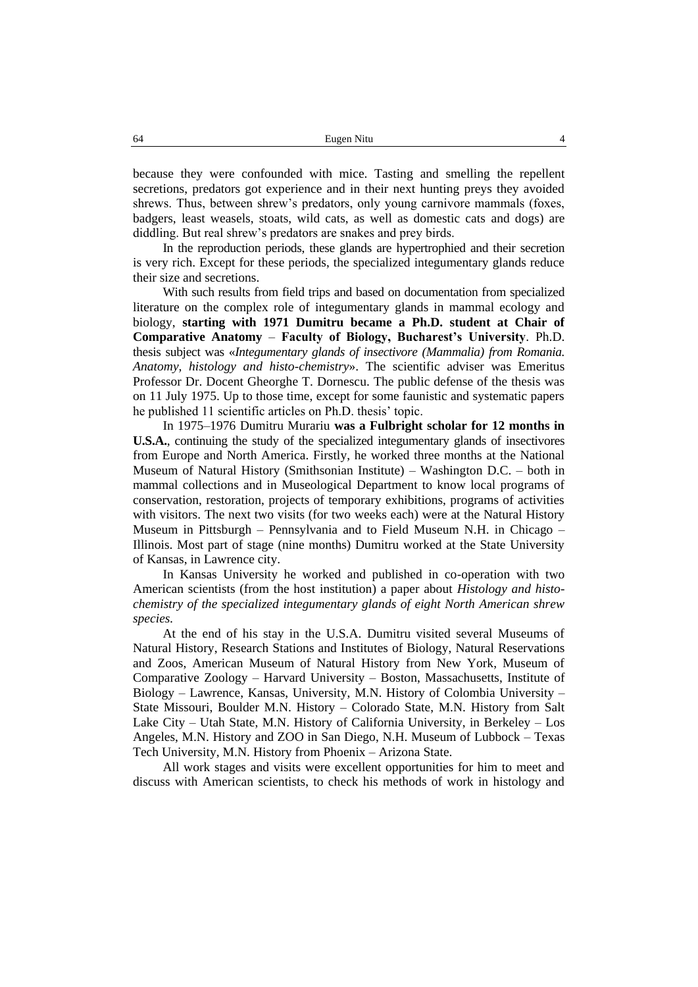because they were confounded with mice. Tasting and smelling the repellent secretions, predators got experience and in their next hunting preys they avoided shrews. Thus, between shrew's predators, only young carnivore mammals (foxes, badgers, least weasels, stoats, wild cats, as well as domestic cats and dogs) are diddling. But real shrew's predators are snakes and prey birds.

In the reproduction periods, these glands are hypertrophied and their secretion is very rich. Except for these periods, the specialized integumentary glands reduce their size and secretions.

With such results from field trips and based on documentation from specialized literature on the complex role of integumentary glands in mammal ecology and biology, **starting with 1971 Dumitru became a Ph.D. student at Chair of Comparative Anatomy** – **Faculty of Biology, Bucharest's University**. Ph.D. thesis subject was «*Integumentary glands of insectivore (Mammalia) from Romania. Anatomy, histology and histo-chemistry*». The scientific adviser was Emeritus Professor Dr. Docent Gheorghe T. Dornescu. The public defense of the thesis was on 11 July 1975. Up to those time, except for some faunistic and systematic papers he published 11 scientific articles on Ph.D. thesis' topic.

In 1975–1976 Dumitru Murariu **was a Fulbright scholar for 12 months in U.S.A.**, continuing the study of the specialized integumentary glands of insectivores from Europe and North America. Firstly, he worked three months at the National Museum of Natural History (Smithsonian Institute) – Washington D.C. – both in mammal collections and in Museological Department to know local programs of conservation, restoration, projects of temporary exhibitions, programs of activities with visitors. The next two visits (for two weeks each) were at the Natural History Museum in Pittsburgh – Pennsylvania and to Field Museum N.H. in Chicago – Illinois. Most part of stage (nine months) Dumitru worked at the State University of Kansas, in Lawrence city.

In Kansas University he worked and published in co-operation with two American scientists (from the host institution) a paper about *Histology and histochemistry of the specialized integumentary glands of eight North American shrew species.*

At the end of his stay in the U.S.A. Dumitru visited several Museums of Natural History, Research Stations and Institutes of Biology, Natural Reservations and Zoos, American Museum of Natural History from New York, Museum of Comparative Zoology – Harvard University – Boston, Massachusetts, Institute of Biology – Lawrence, Kansas, University, M.N. History of Colombia University – State Missouri, Boulder M.N. History – Colorado State, M.N. History from Salt Lake City – Utah State, M.N. History of California University, in Berkeley – Los Angeles, M.N. History and ZOO in San Diego, N.H. Museum of Lubbock – Texas Tech University, M.N. History from Phoenix – Arizona State.

All work stages and visits were excellent opportunities for him to meet and discuss with American scientists, to check his methods of work in histology and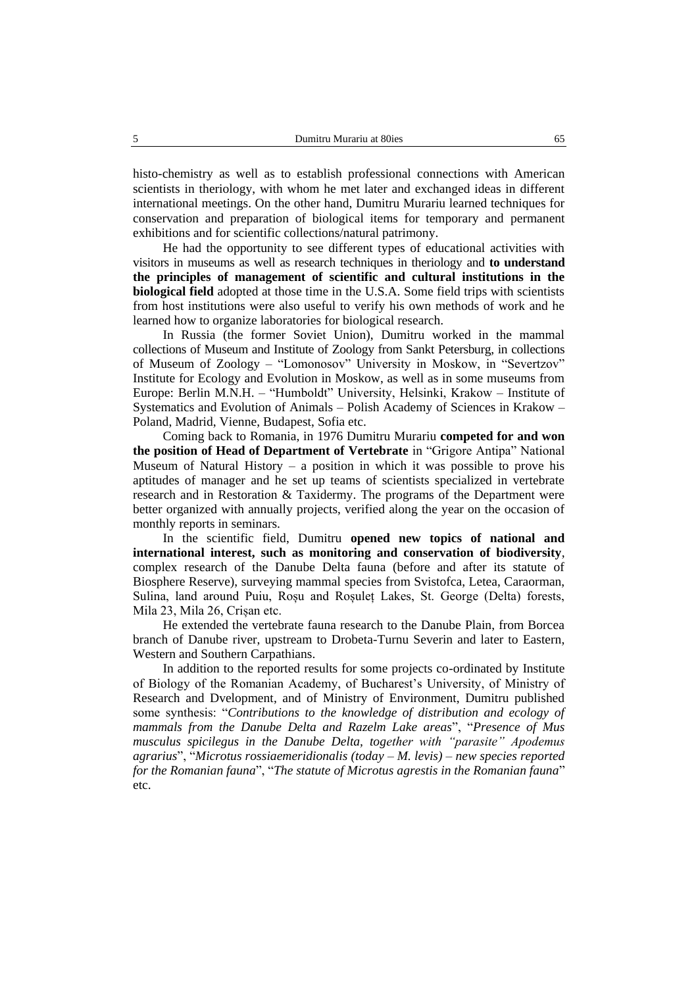histo-chemistry as well as to establish professional connections with American scientists in theriology, with whom he met later and exchanged ideas in different international meetings. On the other hand, Dumitru Murariu learned techniques for conservation and preparation of biological items for temporary and permanent exhibitions and for scientific collections/natural patrimony.

He had the opportunity to see different types of educational activities with visitors in museums as well as research techniques in theriology and **to understand the principles of management of scientific and cultural institutions in the biological field** adopted at those time in the U.S.A. Some field trips with scientists from host institutions were also useful to verify his own methods of work and he learned how to organize laboratories for biological research.

In Russia (the former Soviet Union), Dumitru worked in the mammal collections of Museum and Institute of Zoology from Sankt Petersburg, in collections of Museum of Zoology – "Lomonosov" University in Moskow, in "Severtzov" Institute for Ecology and Evolution in Moskow, as well as in some museums from Europe: Berlin M.N.H. – "Humboldt" University, Helsinki, Krakow – Institute of Systematics and Evolution of Animals – Polish Academy of Sciences in Krakow – Poland, Madrid, Vienne, Budapest, Sofia etc.

Coming back to Romania, in 1976 Dumitru Murariu **competed for and won the position of Head of Department of Vertebrate** in "Grigore Antipa" National Museum of Natural History  $-$  a position in which it was possible to prove his aptitudes of manager and he set up teams of scientists specialized in vertebrate research and in Restoration & Taxidermy. The programs of the Department were better organized with annually projects, verified along the year on the occasion of monthly reports in seminars.

In the scientific field, Dumitru **opened new topics of national and international interest, such as monitoring and conservation of biodiversity**, complex research of the Danube Delta fauna (before and after its statute of Biosphere Reserve), surveying mammal species from Svistofca, Letea, Caraorman, Sulina, land around Puiu, Roșu and Roșuleț Lakes, St. George (Delta) forests, Mila 23, Mila 26, Crișan etc.

He extended the vertebrate fauna research to the Danube Plain, from Borcea branch of Danube river, upstream to Drobeta-Turnu Severin and later to Eastern, Western and Southern Carpathians.

In addition to the reported results for some projects co-ordinated by Institute of Biology of the Romanian Academy, of Bucharest's University, of Ministry of Research and Dvelopment, and of Ministry of Environment, Dumitru published some synthesis: "*Contributions to the knowledge of distribution and ecology of mammals from the Danube Delta and Razelm Lake areas*", "*Presence of Mus musculus spicilegus in the Danube Delta, together with "parasite" Apodemus agrarius*", "*Microtus rossiaemeridionalis (today – M. levis) – new species reported for the Romanian fauna*", "*The statute of Microtus agrestis in the Romanian fauna*" etc.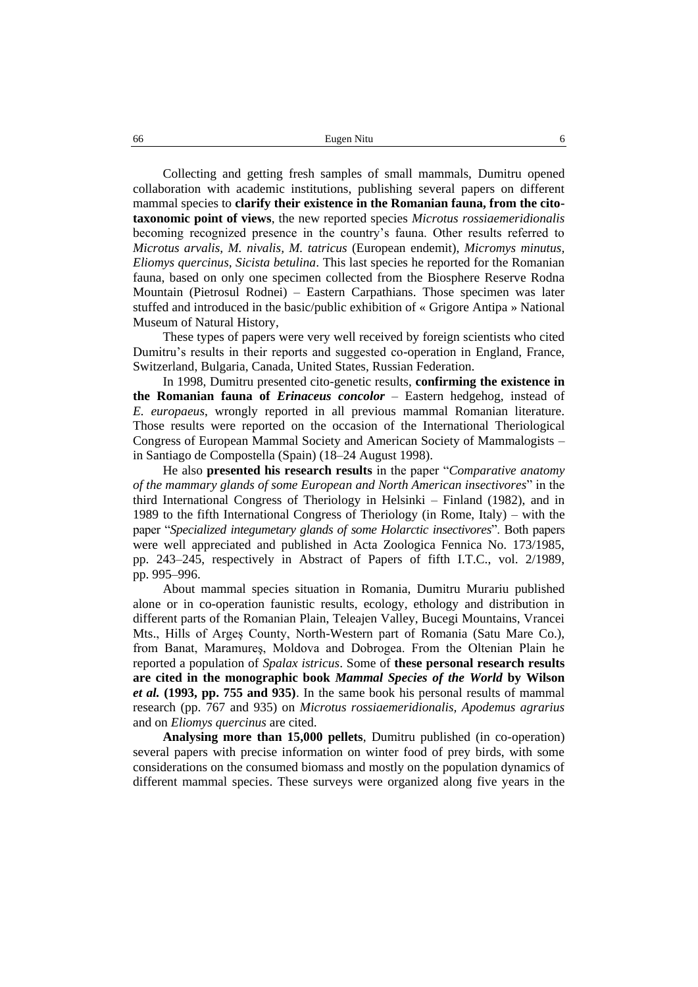Collecting and getting fresh samples of small mammals, Dumitru opened collaboration with academic institutions, publishing several papers on different mammal species to **clarify their existence in the Romanian fauna, from the citotaxonomic point of views**, the new reported species *Microtus rossiaemeridionalis*  becoming recognized presence in the country's fauna. Other results referred to *Microtus arvalis, M. nivalis, M. tatricus* (European endemit), *Micromys minutus, Eliomys quercinus, Sicista betulina*. This last species he reported for the Romanian fauna, based on only one specimen collected from the Biosphere Reserve Rodna Mountain (Pietrosul Rodnei) – Eastern Carpathians. Those specimen was later stuffed and introduced in the basic/public exhibition of « Grigore Antipa » National Museum of Natural History,

These types of papers were very well received by foreign scientists who cited Dumitru's results in their reports and suggested co-operation in England, France, Switzerland, Bulgaria, Canada, United States, Russian Federation.

In 1998, Dumitru presented cito-genetic results, **confirming the existence in the Romanian fauna of** *Erinaceus concolor* – Eastern hedgehog, instead of *E. europaeus*, wrongly reported in all previous mammal Romanian literature. Those results were reported on the occasion of the International Theriological Congress of European Mammal Society and American Society of Mammalogists – in Santiago de Compostella (Spain) (18–24 August 1998).

He also **presented his research results** in the paper "*Comparative anatomy of the mammary glands of some European and North American insectivores*" in the third International Congress of Theriology in Helsinki – Finland (1982), and in 1989 to the fifth International Congress of Theriology (in Rome, Italy) – with the paper "*Specialized integumetary glands of some Holarctic insectivores*". Both papers were well appreciated and published in Acta Zoologica Fennica No. 173/1985, pp. 243–245, respectively in Abstract of Papers of fifth I.T.C., vol. 2/1989, pp. 995–996.

About mammal species situation in Romania, Dumitru Murariu published alone or in co-operation faunistic results, ecology, ethology and distribution in different parts of the Romanian Plain, Teleajen Valley, Bucegi Mountains, Vrancei Mts., Hills of Argeş County, North-Western part of Romania (Satu Mare Co.), from Banat, Maramureş, Moldova and Dobrogea. From the Oltenian Plain he reported a population of *Spalax istricus*. Some of **these personal research results are cited in the monographic book** *Mammal Species of the World* **by Wilson**  *et al.* **(1993, pp. 755 and 935)**. In the same book his personal results of mammal research (pp. 767 and 935) on *Microtus rossiaemeridionalis, Apodemus agrarius* and on *Eliomys quercinus* are cited.

**Analysing more than 15,000 pellets**, Dumitru published (in co-operation) several papers with precise information on winter food of prey birds, with some considerations on the consumed biomass and mostly on the population dynamics of different mammal species. These surveys were organized along five years in the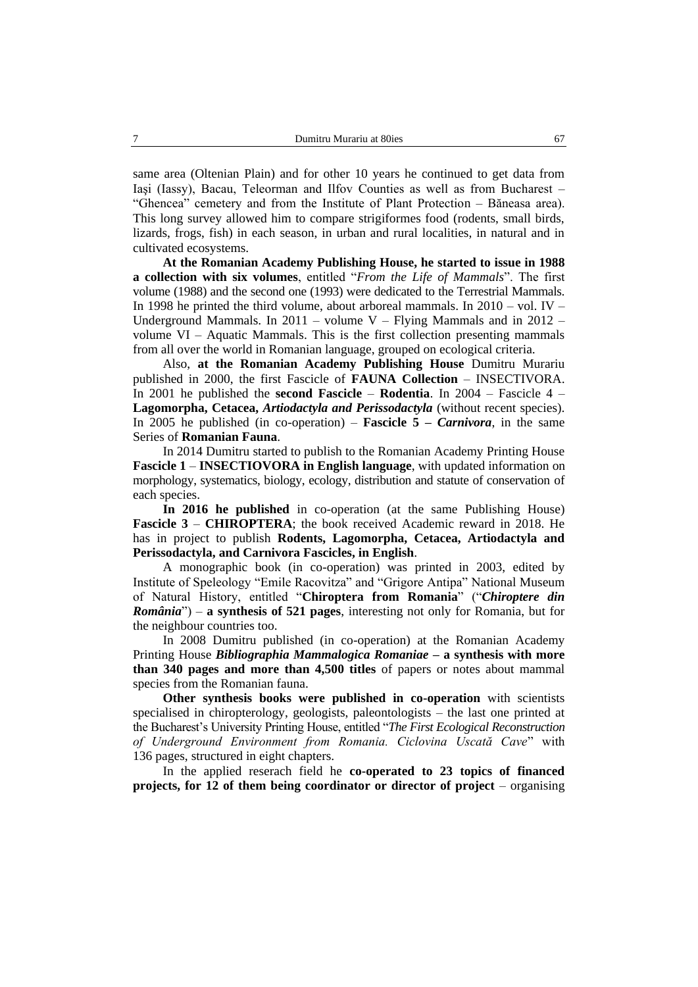same area (Oltenian Plain) and for other 10 years he continued to get data from Iaşi (Iassy), Bacau, Teleorman and Ilfov Counties as well as from Bucharest – "Ghencea" cemetery and from the Institute of Plant Protection – Băneasa area). This long survey allowed him to compare strigiformes food (rodents, small birds, lizards, frogs, fish) in each season, in urban and rural localities, in natural and in cultivated ecosystems.

**At the Romanian Academy Publishing House, he started to issue in 1988 a collection with six volumes**, entitled "*From the Life of Mammals*". The first volume (1988) and the second one (1993) were dedicated to the Terrestrial Mammals. In 1998 he printed the third volume, about arboreal mammals. In  $2010 - \text{vol}$ . IV – Underground Mammals. In  $2011 -$  volume V – Flying Mammals and in  $2012$ volume  $VI - A$ quatic Mammals. This is the first collection presenting mammals from all over the world in Romanian language, grouped on ecological criteria.

Also, **at the Romanian Academy Publishing House** Dumitru Murariu published in 2000, the first Fascicle of **FAUNA Collection** – INSECTIVORA. In 2001 he published the **second Fascicle** – **Rodentia**. In 2004 – Fascicle 4 – **Lagomorpha, Cetacea,** *Artiodactyla and Perissodactyla* (without recent species). In 2005 he published (in co-operation) – **Fascicle 5 –** *Carnivora*, in the same Series of **Romanian Fauna**.

In 2014 Dumitru started to publish to the Romanian Academy Printing House **Fascicle 1** – **INSECTIOVORA in English language**, with updated information on morphology, systematics, biology, ecology, distribution and statute of conservation of each species.

**In 2016 he published** in co-operation (at the same Publishing House) **Fascicle 3** – **CHIROPTERA**; the book received Academic reward in 2018. He has in project to publish **Rodents, Lagomorpha, Cetacea, Artiodactyla and Perissodactyla, and Carnivora Fascicles, in English**.

A monographic book (in co-operation) was printed in 2003, edited by Institute of Speleology "Emile Racovitza" and "Grigore Antipa" National Museum of Natural History, entitled "**Chiroptera from Romania**" ("*Chiroptere din România*") – **a synthesis of 521 pages**, interesting not only for Romania, but for the neighbour countries too.

In 2008 Dumitru published (in co-operation) at the Romanian Academy Printing House *Bibliographia Mammalogica Romaniae* **– a synthesis with more than 340 pages and more than 4,500 titles** of papers or notes about mammal species from the Romanian fauna.

**Other synthesis books were published in co-operation** with scientists specialised in chiropterology, geologists, paleontologists – the last one printed at the Bucharest's University Printing House, entitled "*The First Ecological Reconstruction of Underground Environment from Romania. Ciclovina Uscată Cave*" with 136 pages, structured in eight chapters.

In the applied reserach field he **co-operated to 23 topics of financed projects, for 12 of them being coordinator or director of project** – organising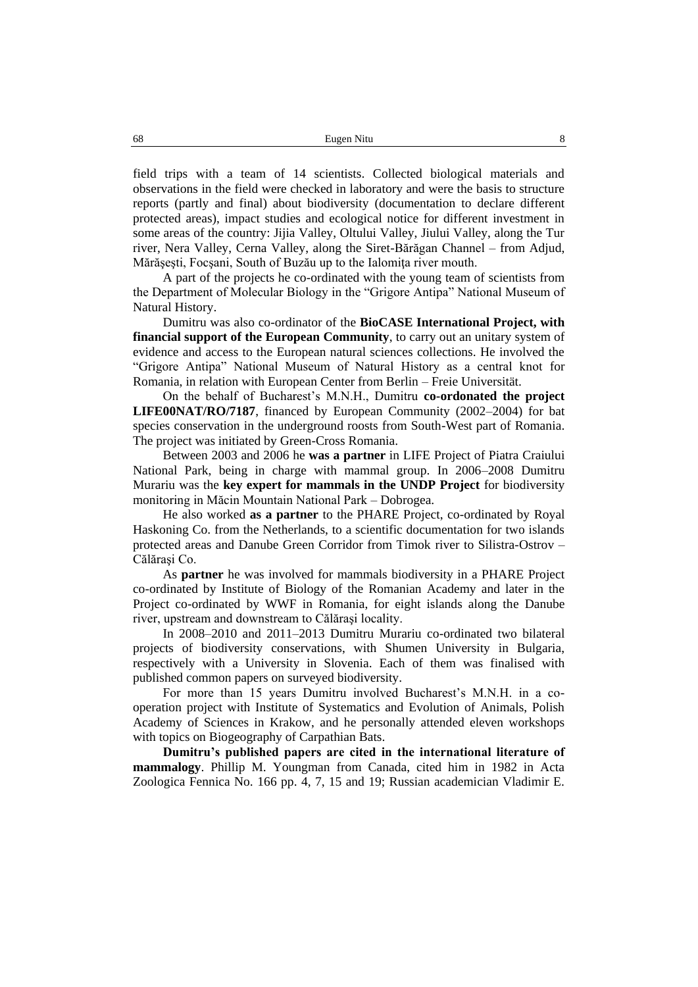field trips with a team of 14 scientists. Collected biological materials and observations in the field were checked in laboratory and were the basis to structure reports (partly and final) about biodiversity (documentation to declare different protected areas), impact studies and ecological notice for different investment in some areas of the country: Jijia Valley, Oltului Valley, Jiului Valley, along the Tur river, Nera Valley, Cerna Valley, along the Siret-Bărăgan Channel – from Adjud, Mărăsesti, Focsani, South of Buzău up to the Ialomita river mouth.

A part of the projects he co-ordinated with the young team of scientists from the Department of Molecular Biology in the "Grigore Antipa" National Museum of Natural History.

Dumitru was also co-ordinator of the **BioCASE International Project, with financial support of the European Community**, to carry out an unitary system of evidence and access to the European natural sciences collections. He involved the "Grigore Antipa" National Museum of Natural History as a central knot for Romania, in relation with European Center from Berlin – Freie Universität.

On the behalf of Bucharest's M.N.H., Dumitru **co-ordonated the project LIFE00NAT/RO/7187**, financed by European Community (2002–2004) for bat species conservation in the underground roosts from South-West part of Romania. The project was initiated by Green-Cross Romania.

Between 2003 and 2006 he **was a partner** in LIFE Project of Piatra Craiului National Park, being in charge with mammal group. In 2006–2008 Dumitru Murariu was the **key expert for mammals in the UNDP Project** for biodiversity monitoring in Măcin Mountain National Park – Dobrogea.

He also worked **as a partner** to the PHARE Project, co-ordinated by Royal Haskoning Co. from the Netherlands, to a scientific documentation for two islands protected areas and Danube Green Corridor from Timok river to Silistra-Ostrov – Călăraşi Co.

As **partner** he was involved for mammals biodiversity in a PHARE Project co-ordinated by Institute of Biology of the Romanian Academy and later in the Project co-ordinated by WWF in Romania, for eight islands along the Danube river, upstream and downstream to Călăraşi locality.

In 2008–2010 and 2011–2013 Dumitru Murariu co-ordinated two bilateral projects of biodiversity conservations, with Shumen University in Bulgaria, respectively with a University in Slovenia. Each of them was finalised with published common papers on surveyed biodiversity.

For more than 15 years Dumitru involved Bucharest's M.N.H. in a cooperation project with Institute of Systematics and Evolution of Animals, Polish Academy of Sciences in Krakow, and he personally attended eleven workshops with topics on Biogeography of Carpathian Bats.

**Dumitru's published papers are cited in the international literature of mammalogy**. Phillip M. Youngman from Canada, cited him in 1982 in Acta Zoologica Fennica No. 166 pp. 4, 7, 15 and 19; Russian academician Vladimir E.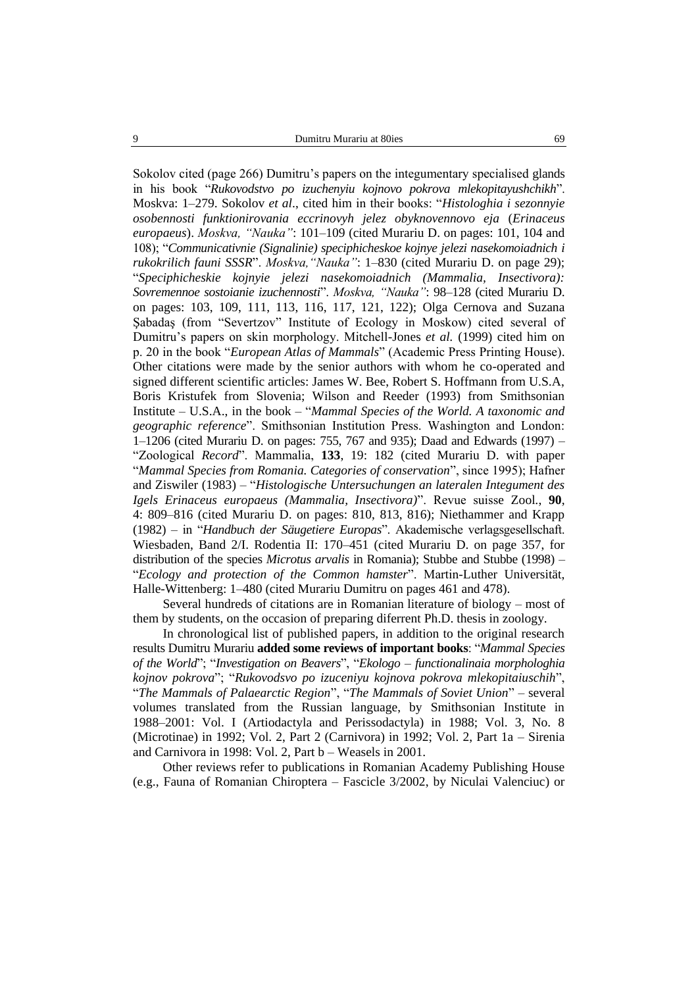Sokolov cited (page 266) Dumitru's papers on the integumentary specialised glands in his book "*Rukovodstvo po izuchenyiu kojnovo pokrova mlekopitayushchikh*". Moskva: 1–279. Sokolov *et al*., cited him in their books: "*Histologhia i sezonnyie osobennosti funktionirovania eccrinovyh jelez obyknovennovo eja* (*Erinaceus europaeus*). *Moskva, "Nauka"*: 101–109 (cited Murariu D. on pages: 101, 104 and 108); "*Communicativnie (Signalinie) speciphicheskoe kojnye jelezi nasekomoiadnich i rukokrilich fauni SSSR*". *Moskva,"Nauka"*: 1–830 (cited Murariu D. on page 29); "*Speciphicheskie kojnyie jelezi nasekomoiadnich (Mammalia, Insectivora): Sovremennoe sostoianie izuchennosti*". *Moskva, "Nauka"*: 98–128 (cited Murariu D. on pages: 103, 109, 111, 113, 116, 117, 121, 122); Olga Cernova and Suzana Şabadaş (from "Severtzov" Institute of Ecology in Moskow) cited several of Dumitru's papers on skin morphology. Mitchell-Jones *et al.* (1999) cited him on p. 20 in the book "*European Atlas of Mammals*" (Academic Press Printing House). Other citations were made by the senior authors with whom he co-operated and signed different scientific articles: James W. Bee, Robert S. Hoffmann from U.S.A, Boris Kristufek from Slovenia; Wilson and Reeder (1993) from Smithsonian Institute – U.S.A., in the book – "*Mammal Species of the World. A taxonomic and geographic reference*". Smithsonian Institution Press. Washington and London: 1–1206 (cited Murariu D. on pages: 755, 767 and 935); Daad and Edwards (1997) – "Zoological *Record*". Mammalia, **133**, 19: 182 (cited Murariu D. with paper "*Mammal Species from Romania. Categories of conservation*", since 1995); Hafner and Ziswiler (1983) – "*Histologische Untersuchungen an lateralen Integument des Igels Erinaceus europaeus (Mammalia, Insectivora)*". Revue suisse Zool*.*, **90**, 4: 809–816 (cited Murariu D. on pages: 810, 813, 816); Niethammer and Krapp (1982) – in "*Handbuch der Säugetiere Europas*". Akademische verlagsgesellschaft. Wiesbaden, Band 2/I. Rodentia II: 170–451 (cited Murariu D. on page 357, for distribution of the species *Microtus arvalis* in Romania); Stubbe and Stubbe (1998) – "*Ecology and protection of the Common hamster*". Martin-Luther Universität, Halle-Wittenberg: 1–480 (cited Murariu Dumitru on pages 461 and 478).

Several hundreds of citations are in Romanian literature of biology – most of them by students, on the occasion of preparing diferrent Ph.D. thesis in zoology.

In chronological list of published papers, in addition to the original research results Dumitru Murariu **added some reviews of important books**: "*Mammal Species of the World*"; "*Investigation on Beavers*", "*Ekologo – functionalinaia morphologhia kojnov pokrova*"; "*Rukovodsvo po izuceniyu kojnova pokrova mlekopitaiuschih*", "*The Mammals of Palaearctic Region*", "*The Mammals of Soviet Union*" – several volumes translated from the Russian language, by Smithsonian Institute in 1988–2001: Vol. I (Artiodactyla and Perissodactyla) in 1988; Vol. 3, No. 8 (Microtinae) in 1992; Vol. 2, Part 2 (Carnivora) in 1992; Vol. 2, Part 1a – Sirenia and Carnivora in 1998: Vol. 2, Part b – Weasels in 2001.

Other reviews refer to publications in Romanian Academy Publishing House (e.g., Fauna of Romanian Chiroptera – Fascicle 3/2002, by Niculai Valenciuc) or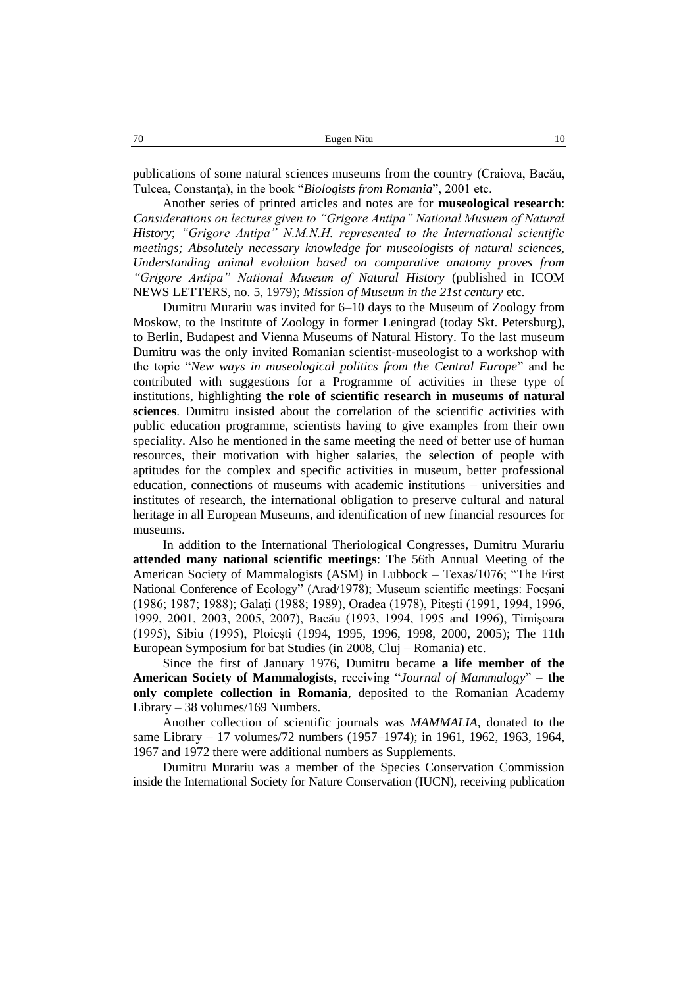publications of some natural sciences museums from the country (Craiova, Bacău, Tulcea, Constanţa), in the book "*Biologists from Romania*", 2001 etc.

Another series of printed articles and notes are for **museological research**: *Considerations on lectures given to "Grigore Antipa" National Musuem of Natural History*; *"Grigore Antipa" N.M.N.H. represented to the International scientific meetings; Absolutely necessary knowledge for museologists of natural sciences, Understanding animal evolution based on comparative anatomy proves from "Grigore Antipa" National Museum of Natural History* (published in ICOM NEWS LETTERS, no. 5, 1979); *Mission of Museum in the 21st century* etc.

Dumitru Murariu was invited for 6–10 days to the Museum of Zoology from Moskow, to the Institute of Zoology in former Leningrad (today Skt. Petersburg), to Berlin, Budapest and Vienna Museums of Natural History. To the last museum Dumitru was the only invited Romanian scientist-museologist to a workshop with the topic "*New ways in museological politics from the Central Europe*" and he contributed with suggestions for a Programme of activities in these type of institutions, highlighting **the role of scientific research in museums of natural sciences**. Dumitru insisted about the correlation of the scientific activities with public education programme, scientists having to give examples from their own speciality. Also he mentioned in the same meeting the need of better use of human resources, their motivation with higher salaries, the selection of people with aptitudes for the complex and specific activities in museum, better professional education, connections of museums with academic institutions – universities and institutes of research, the international obligation to preserve cultural and natural heritage in all European Museums, and identification of new financial resources for museums.

In addition to the International Theriological Congresses, Dumitru Murariu **attended many national scientific meetings**: The 56th Annual Meeting of the American Society of Mammalogists (ASM) in Lubbock – Texas/1076; "The First National Conference of Ecology" (Arad/1978); Museum scientific meetings: Focşani (1986; 1987; 1988); Galaţi (1988; 1989), Oradea (1978), Piteşti (1991, 1994, 1996, 1999, 2001, 2003, 2005, 2007), Bacău (1993, 1994, 1995 and 1996), Timişoara (1995), Sibiu (1995), Ploieşti (1994, 1995, 1996, 1998, 2000, 2005); The 11th European Symposium for bat Studies (in 2008, Cluj – Romania) etc.

Since the first of January 1976, Dumitru became **a life member of the American Society of Mammalogists**, receiving "*Journal of Mammalogy*" – **the only complete collection in Romania**, deposited to the Romanian Academy Library – 38 volumes/169 Numbers.

Another collection of scientific journals was *MAMMALIA*, donated to the same Library – 17 volumes/72 numbers (1957–1974); in 1961, 1962, 1963, 1964, 1967 and 1972 there were additional numbers as Supplements.

Dumitru Murariu was a member of the Species Conservation Commission inside the International Society for Nature Conservation (IUCN), receiving publication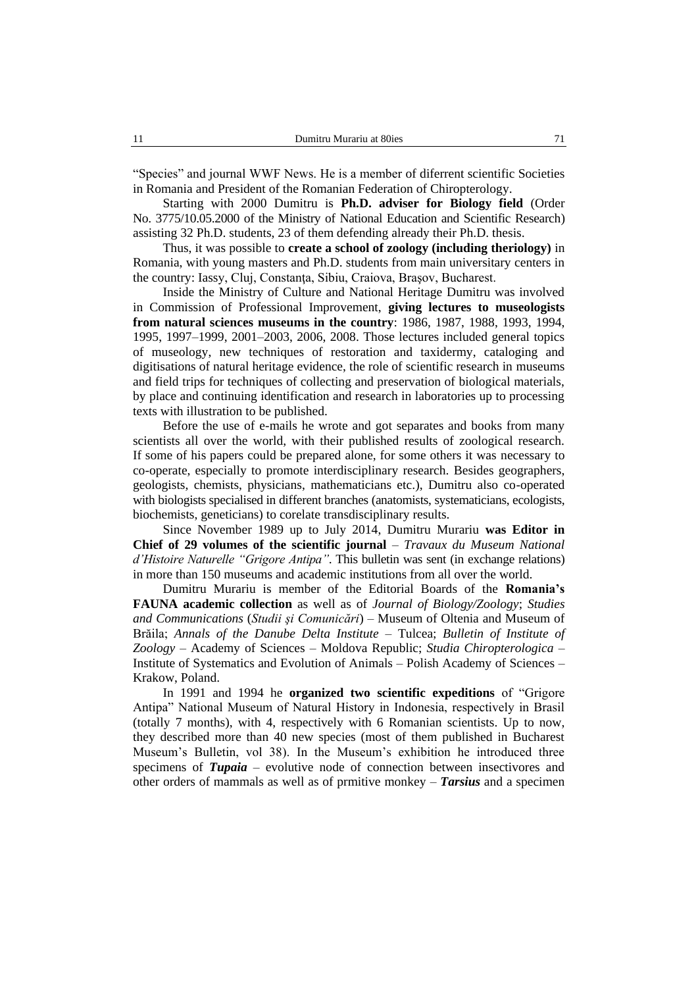"Species" and journal WWF News. He is a member of diferrent scientific Societies in Romania and President of the Romanian Federation of Chiropterology.

Starting with 2000 Dumitru is **Ph.D. adviser for Biology field** (Order No. 3775/10.05.2000 of the Ministry of National Education and Scientific Research) assisting 32 Ph.D. students, 23 of them defending already their Ph.D. thesis.

Thus, it was possible to **create a school of zoology (including theriology)** in Romania, with young masters and Ph.D. students from main universitary centers in the country: Iassy, Cluj, Constanţa, Sibiu, Craiova, Braşov, Bucharest.

Inside the Ministry of Culture and National Heritage Dumitru was involved in Commission of Professional Improvement, **giving lectures to museologists from natural sciences museums in the country**: 1986, 1987, 1988, 1993, 1994, 1995, 1997–1999, 2001–2003, 2006, 2008. Those lectures included general topics of museology, new techniques of restoration and taxidermy, cataloging and digitisations of natural heritage evidence, the role of scientific research in museums and field trips for techniques of collecting and preservation of biological materials, by place and continuing identification and research in laboratories up to processing texts with illustration to be published.

Before the use of e-mails he wrote and got separates and books from many scientists all over the world, with their published results of zoological research. If some of his papers could be prepared alone, for some others it was necessary to co-operate, especially to promote interdisciplinary research. Besides geographers, geologists, chemists, physicians, mathematicians etc.), Dumitru also co-operated with biologists specialised in different branches (anatomists, systematicians, ecologists, biochemists, geneticians) to corelate transdisciplinary results.

Since November 1989 up to July 2014, Dumitru Murariu **was Editor in Chief of 29 volumes of the scientific journal** – *Travaux du Museum National d'Histoire Naturelle "Grigore Antipa"*. This bulletin was sent (in exchange relations) in more than 150 museums and academic institutions from all over the world.

Dumitru Murariu is member of the Editorial Boards of the **Romania's FAUNA academic collection** as well as of *Journal of Biology/Zoology*; *Studies and Communications* (*Studii şi Comunicări*) – Museum of Oltenia and Museum of Brăila; *Annals of the Danube Delta Institute* – Tulcea; *Bulletin of Institute of Zoology* – Academy of Sciences – Moldova Republic; *Studia Chiropterologica* – Institute of Systematics and Evolution of Animals – Polish Academy of Sciences – Krakow, Poland.

In 1991 and 1994 he **organized two scientific expeditions** of "Grigore Antipa" National Museum of Natural History in Indonesia, respectively in Brasil (totally 7 months), with 4, respectively with 6 Romanian scientists. Up to now, they described more than 40 new species (most of them published in Bucharest Museum's Bulletin, vol 38). In the Museum's exhibition he introduced three specimens of *Tupaia* – evolutive node of connection between insectivores and other orders of mammals as well as of prmitive monkey – *Tarsius* and a specimen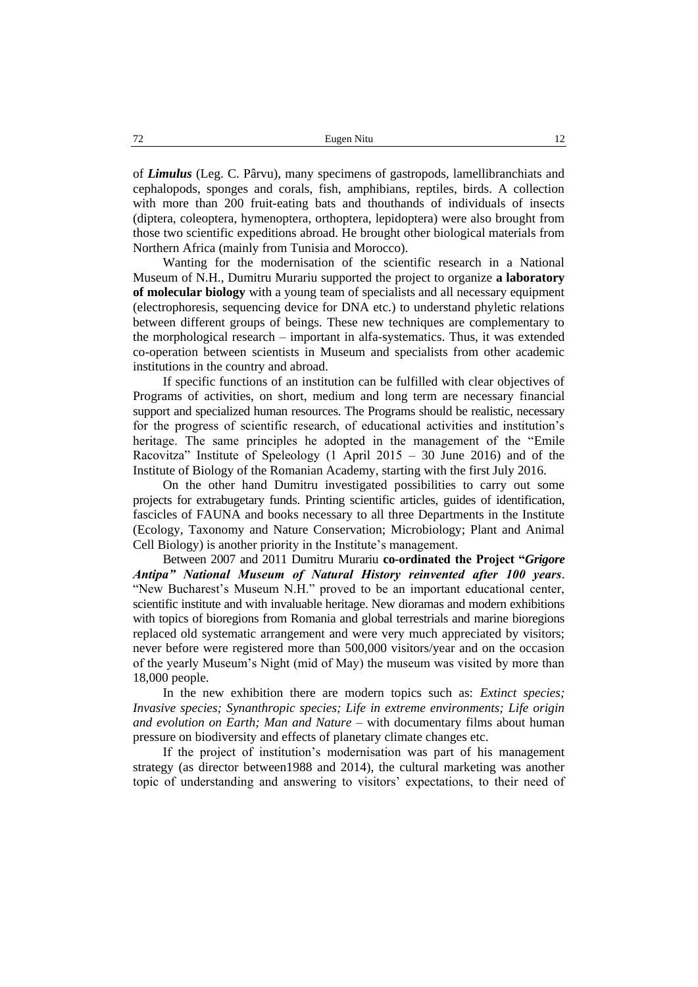of *Limulus* (Leg. C. Pârvu), many specimens of gastropods, lamellibranchiats and cephalopods, sponges and corals, fish, amphibians, reptiles, birds. A collection with more than 200 fruit-eating bats and thouthands of individuals of insects (diptera, coleoptera, hymenoptera, orthoptera, lepidoptera) were also brought from those two scientific expeditions abroad. He brought other biological materials from Northern Africa (mainly from Tunisia and Morocco).

Wanting for the modernisation of the scientific research in a National Museum of N.H., Dumitru Murariu supported the project to organize **a laboratory of molecular biology** with a young team of specialists and all necessary equipment (electrophoresis, sequencing device for DNA etc.) to understand phyletic relations between different groups of beings. These new techniques are complementary to the morphological research – important in alfa-systematics. Thus, it was extended co-operation between scientists in Museum and specialists from other academic institutions in the country and abroad.

If specific functions of an institution can be fulfilled with clear objectives of Programs of activities, on short, medium and long term are necessary financial support and specialized human resources. The Programs should be realistic, necessary for the progress of scientific research, of educational activities and institution's heritage. The same principles he adopted in the management of the "Emile Racovitza" Institute of Speleology  $(1$  April 2015 – 30 June 2016) and of the Institute of Biology of the Romanian Academy, starting with the first July 2016.

On the other hand Dumitru investigated possibilities to carry out some projects for extrabugetary funds. Printing scientific articles, guides of identification, fascicles of FAUNA and books necessary to all three Departments in the Institute (Ecology, Taxonomy and Nature Conservation; Microbiology; Plant and Animal Cell Biology) is another priority in the Institute's management.

Between 2007 and 2011 Dumitru Murariu **co-ordinated the Project "***Grigore Antipa" National Museum of Natural History reinvented after 100 years*. "New Bucharest's Museum N.H." proved to be an important educational center, scientific institute and with invaluable heritage. New dioramas and modern exhibitions with topics of bioregions from Romania and global terrestrials and marine bioregions replaced old systematic arrangement and were very much appreciated by visitors; never before were registered more than 500,000 visitors/year and on the occasion of the yearly Museum's Night (mid of May) the museum was visited by more than 18,000 people.

In the new exhibition there are modern topics such as: *Extinct species; Invasive species; Synanthropic species; Life in extreme environments; Life origin and evolution on Earth; Man and Nature* – with documentary films about human pressure on biodiversity and effects of planetary climate changes etc.

If the project of institution's modernisation was part of his management strategy (as director between1988 and 2014), the cultural marketing was another topic of understanding and answering to visitors' expectations, to their need of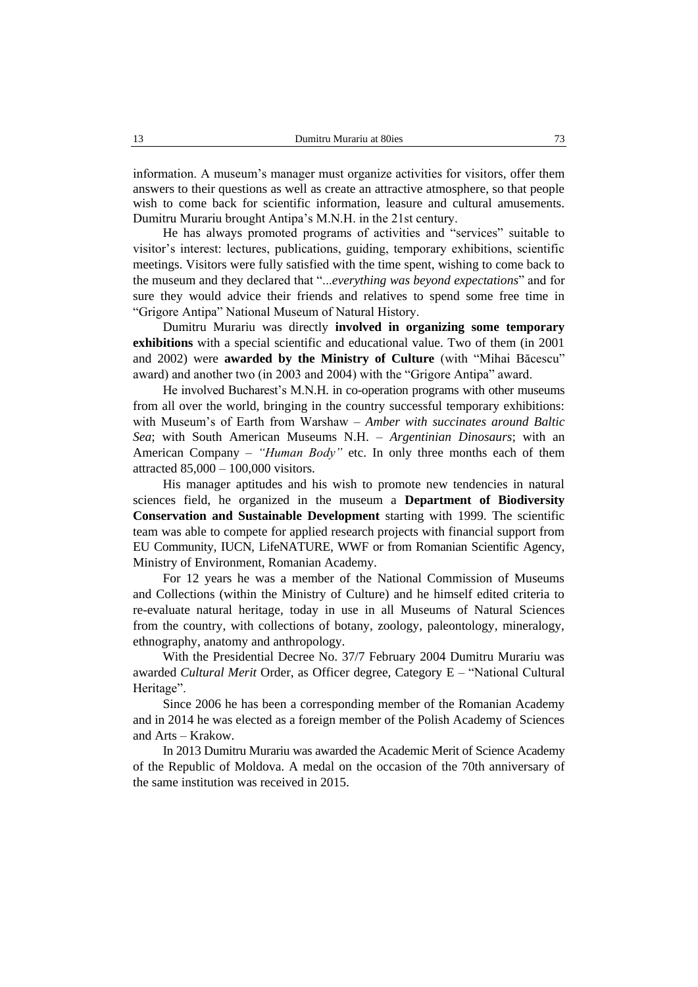information. A museum's manager must organize activities for visitors, offer them answers to their questions as well as create an attractive atmosphere, so that people wish to come back for scientific information, leasure and cultural amusements. Dumitru Murariu brought Antipa's M.N.H. in the 21st century.

He has always promoted programs of activities and "services" suitable to visitor's interest: lectures, publications, guiding, temporary exhibitions, scientific meetings. Visitors were fully satisfied with the time spent, wishing to come back to the museum and they declared that "...*everything was beyond expectations*" and for sure they would advice their friends and relatives to spend some free time in "Grigore Antipa" National Museum of Natural History.

Dumitru Murariu was directly **involved in organizing some temporary exhibitions** with a special scientific and educational value. Two of them (in 2001 and 2002) were **awarded by the Ministry of Culture** (with "Mihai Băcescu" award) and another two (in 2003 and 2004) with the "Grigore Antipa" award.

He involved Bucharest's M.N.H. in co-operation programs with other museums from all over the world, bringing in the country successful temporary exhibitions: with Museum's of Earth from Warshaw – *Amber with succinates around Baltic Sea*; with South American Museums N.H. – *Argentinian Dinosaurs*; with an American Company – *"Human Body"* etc. In only three months each of them attracted 85,000 – 100,000 visitors.

His manager aptitudes and his wish to promote new tendencies in natural sciences field, he organized in the museum a **Department of Biodiversity Conservation and Sustainable Development** starting with 1999. The scientific team was able to compete for applied research projects with financial support from EU Community, IUCN, LifeNATURE, WWF or from Romanian Scientific Agency, Ministry of Environment, Romanian Academy.

For 12 years he was a member of the National Commission of Museums and Collections (within the Ministry of Culture) and he himself edited criteria to re-evaluate natural heritage, today in use in all Museums of Natural Sciences from the country, with collections of botany, zoology, paleontology, mineralogy, ethnography, anatomy and anthropology.

With the Presidential Decree No. 37/7 February 2004 Dumitru Murariu was awarded *Cultural Merit* Order, as Officer degree, Category E – "National Cultural Heritage".

Since 2006 he has been a corresponding member of the Romanian Academy and in 2014 he was elected as a foreign member of the Polish Academy of Sciences and Arts – Krakow.

In 2013 Dumitru Murariu was awarded the Academic Merit of Science Academy of the Republic of Moldova. A medal on the occasion of the 70th anniversary of the same institution was received in 2015.